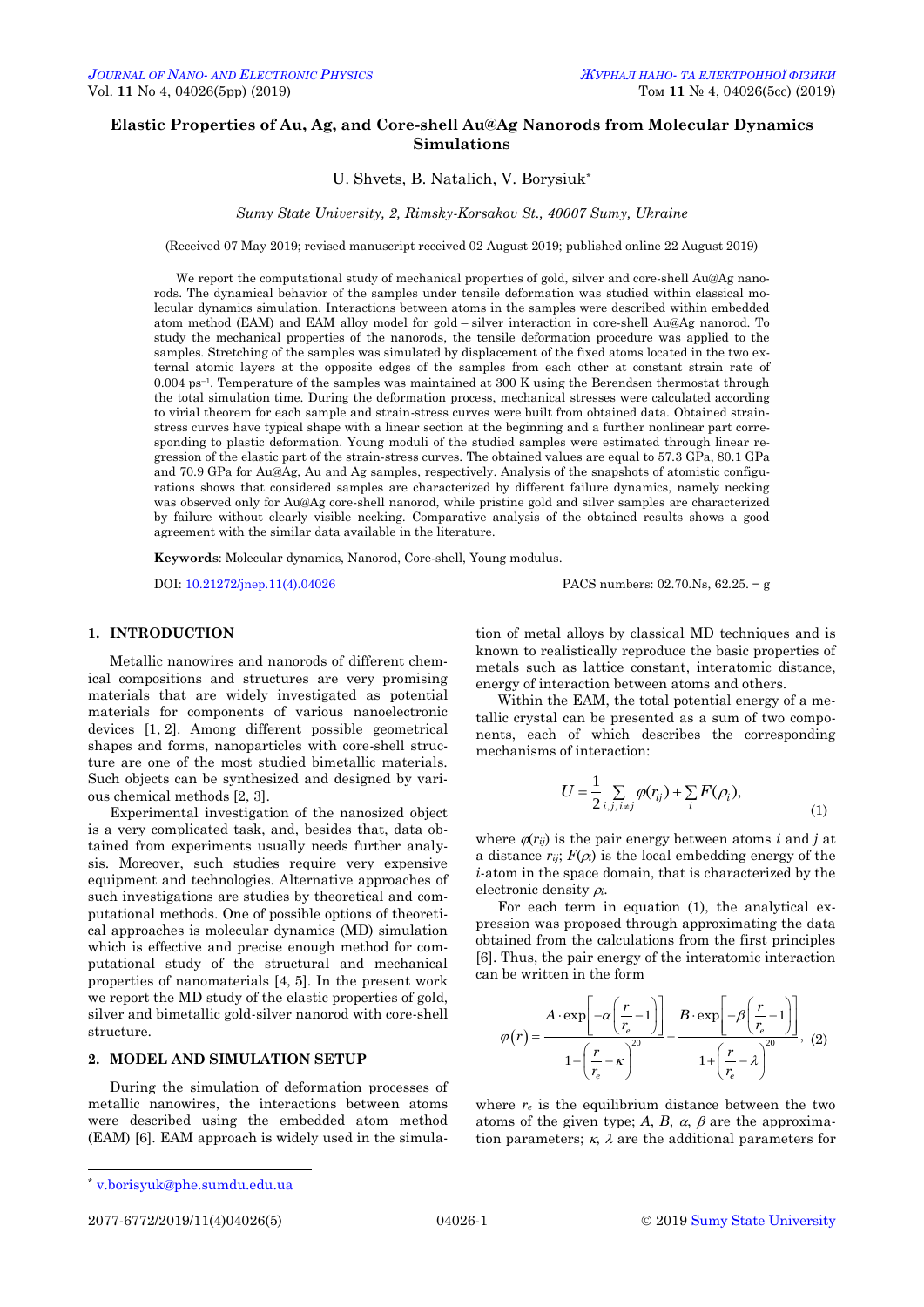# **Elastic Properties of Au, Ag, and Core-shell Au@Ag Nanorods from Molecular Dynamics Simulations**

# U. Shvets, В. Natalich, V. Borysiuk\*

*Sumy State University, 2, Rimsky-Korsakov St., 40007 Sumy, Ukraine*

(Received 07 May 2019; revised manuscript received 02 August 2019; published online 22 August 2019)

We report the computational study of mechanical properties of gold, silver and core-shell Au@Ag nanorods. The dynamical behavior of the samples under tensile deformation was studied within classical molecular dynamics simulation. Interactions between atoms in the samples were described within embedded atom method (EAM) and EAM alloy model for gold – silver interaction in core-shell Au@Ag nanorod. To study the mechanical properties of the nanorods, the tensile deformation procedure was applied to the samples. Stretching of the samples was simulated by displacement of the fixed atoms located in the two external atomic layers at the opposite edges of the samples from each other at constant strain rate of 0.004 ps–1. Temperature of the samples was maintained at 300 K using the Berendsen thermostat through the total simulation time. During the deformation process, mechanical stresses were calculated according to virial theorem for each sample and strain-stress curves were built from obtained data. Obtained strainstress curves have typical shape with a linear section at the beginning and a further nonlinear part corresponding to plastic deformation. Young moduli of the studied samples were estimated through linear regression of the elastic part of the strain-stress curves. The obtained values are equal to 57.3 GPa, 80.1 GPa and 70.9 GPa for Au@Ag, Au and Ag samples, respectively. Analysis of the snapshots of atomistic configurations shows that considered samples are characterized by different failure dynamics, namely necking was observed only for Au@Ag core-shell nanorod, while pristine gold and silver samples are characterized by failure without clearly visible necking. Comparative analysis of the obtained results shows a good agreement with the similar data available in the literature.

**Keywords**: Molecular dynamics, Nanorod, Core-shell, Young modulus.

DOI[: 10.21272/jnep.11\(4\).04026](https://doi.org/10.21272/jnep.11(4).04026) PACS numbers: 02.70.Ns, 62.25. − g

### **1. INTRODUCTION**

Metallic nanowires and nanorods of different chemical compositions and structures are very promising materials that are widely investigated as potential materials for components of various nanoelectronic devices [1, 2]. Among different possible geometrical shapes and forms, nanoparticles with core-shell structure are one of the most studied bimetallic materials. Such objects can be synthesized and designed by various chemical methods [2, 3].

Experimental investigation of the nanosized object is a very complicated task, and, besides that, data obtained from experiments usually needs further analysis. Moreover, such studies require very expensive equipment and technologies. Alternative approaches of such investigations are studies by theoretical and computational methods. One of possible options of theoretical approaches is molecular dynamics (MD) simulation which is effective and precise enough method for computational study of the structural and mechanical properties of nanomaterials [4, 5]. In the present work we report the MD study of the elastic properties of gold. silver and bimetallic gold-silver nanorod with core-shell structure.

#### **2. MODEL AND SIMULATION SETUP**

During the simulation of deformation processes of metallic nanowires, the interactions between atoms were described using the embedded atom method (EAM) [6]. EAM approach is widely used in the simulation of metal alloys by classical MD techniques and is known to realistically reproduce the basic properties of metals such as lattice constant, interatomic distance, energy of interaction between atoms and others.

Within the EAM, the total potential energy of a metallic crystal can be presented as a sum of two components, each of which describes the corresponding mechanisms of interaction:

$$
U = \frac{1}{2} \sum_{i,j,\,i \neq j} \varphi(r_{ij}) + \sum_{i} F(\rho_i), \tag{1}
$$

where  $\varphi(r_{ij})$  is the pair energy between atoms *i* and *j* at a distance  $r_{ij}$ ;  $F(\rho_i)$  is the local embedding energy of the *i*-atom in the space domain, that is characterized by the electronic density  $\rho_i$ .

For each term in equation (1), the analytical expression was proposed through approximating the data obtained from the calculations from the first principles [6]. Thus, the pair energy of the interatomic interaction can be written in the form

$$
\varphi(r) = \frac{A \cdot \exp\left[-\alpha \left(\frac{r}{r_e} - 1\right)\right]}{1 + \left(\frac{r}{r_e} - \kappa\right)^{20}} - \frac{B \cdot \exp\left[-\beta \left(\frac{r}{r_e} - 1\right)\right]}{1 + \left(\frac{r}{r_e} - \lambda\right)^{20}}, \quad (2)
$$

where  $r_e$  is the equilibrium distance between the two atoms of the given type; A, B,  $\alpha$ ,  $\beta$  are the approximation parameters;  $\kappa$ ,  $\lambda$  are the additional parameters for

 $\overline{a}$ 

<span id="page-0-3"></span><span id="page-0-2"></span><span id="page-0-1"></span><span id="page-0-0"></span>

<sup>\*</sup> [v.borisyuk@phe.sumdu.edu.ua](mailto:v.borisyuk@phe.sumdu.edu.ua)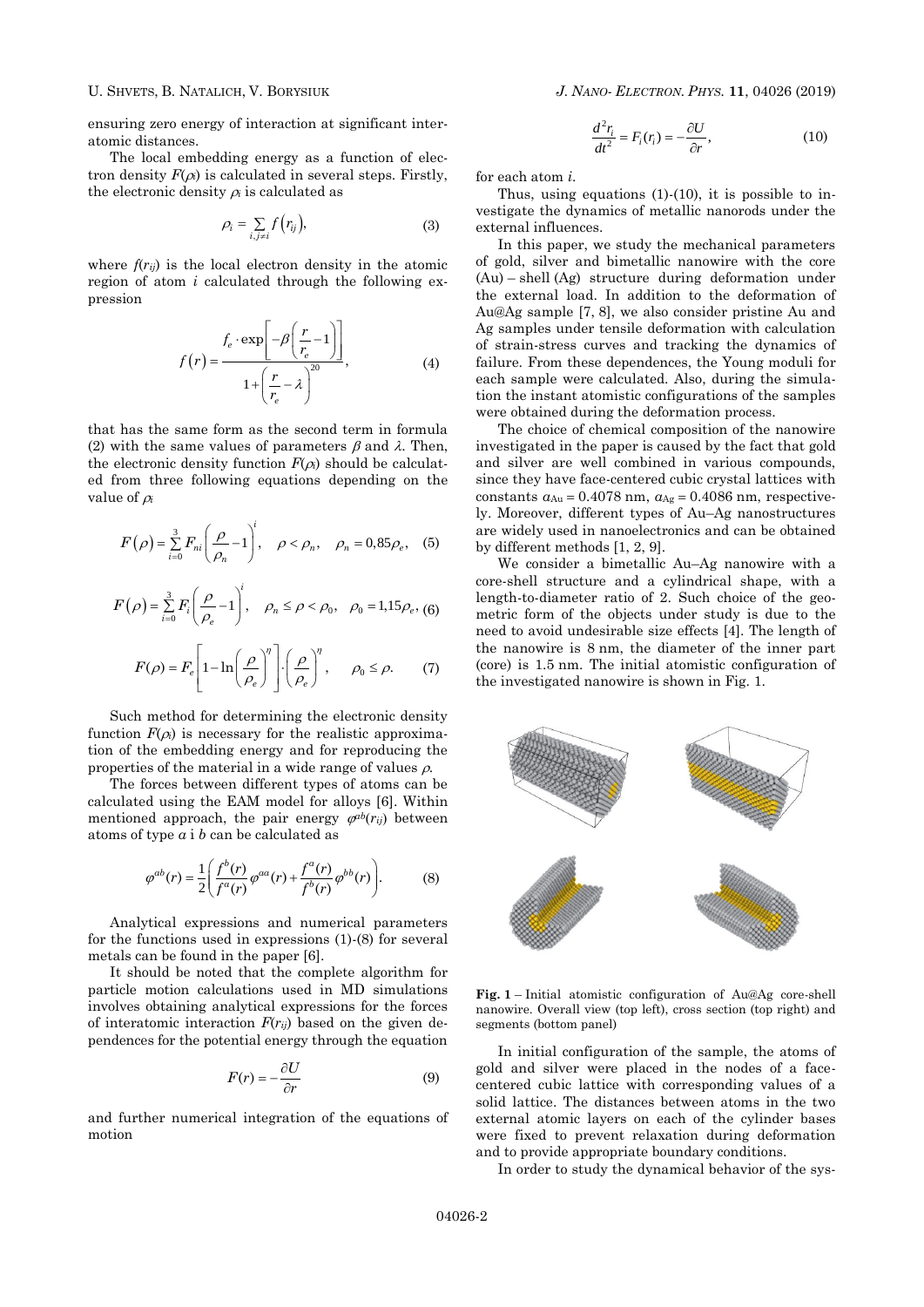ensuring zero energy of interaction at significant interatomic distances.

The local embedding energy as a function of electron density  $F(\rho_i)$  is calculated in several steps. Firstly, the electronic density  $\rho_i$  is calculated as

$$
\rho_i = \sum_{i,j \neq i} f(r_{ij}),\tag{3}
$$

where  $f(r_{ii})$  is the local electron density in the atomic region of atom *i* calculated through the following expression

$$
f(r) = \frac{f_e \cdot \exp\left[-\beta \left(\frac{r}{r_e} - 1\right)\right]}{1 + \left(\frac{r}{r_e} - \lambda\right)^{20}},\tag{4}
$$

that has the same form as the second term in formula (2) with the same values of parameters  $\beta$  and  $\lambda$ . Then, the electronic density function  $F(\rho_i)$  should be calculated from three following equations depending on the value of  $\rho_i$ 

$$
F(\rho) = \sum_{i=0}^{3} F_{ni} \left( \frac{\rho}{\rho_n} - 1 \right)^i, \quad \rho < \rho_n, \quad \rho_n = 0,85 \rho_e, \quad (5)
$$

$$
F(\rho) = \sum_{i=0}^{3} F_i \left( \frac{\rho}{\rho_e} - 1 \right)^i, \quad \rho_n \le \rho < \rho_0, \quad \rho_0 = 1, 15 \rho_e, \tag{6}
$$

$$
F(\rho) = F_e \left[ 1 - \ln \left( \frac{\rho}{\rho_e} \right)^{\eta} \right] \cdot \left( \frac{\rho}{\rho_e} \right)^{\eta}, \quad \rho_0 \le \rho. \tag{7}
$$

Such method for determining the electronic density function  $F(\rho_i)$  is necessary for the realistic approximation of the embedding energy and for reproducing the properties of the material in a wide range of values  $\rho$ .

The forces between different types of atoms can be calculated using the EAM model for alloys [6]. Within mentioned approach, the pair energy  $\varphi^{ab}(r_{ij})$  between atoms of type *а* і *b* can be calculated as

$$
\varphi^{ab}(r) = \frac{1}{2} \left( \frac{f^b(r)}{f^a(r)} \varphi^{aa}(r) + \frac{f^a(r)}{f^b(r)} \varphi^{bb}(r) \right). \tag{8}
$$

Analytical expressions and numerical parameters for the functions used in expressions (1)-(8) for several metals can be found in the paper [6].

It should be noted that the complete algorithm for particle motion calculations used in MD simulations involves obtaining analytical expressions for the forces of interatomic interaction  $F(r_{ij})$  based on the given dependences for the potential energy through the equation

$$
F(r) = -\frac{\partial U}{\partial r} \tag{9}
$$

and further numerical integration of the equations of motion

$$
\frac{d^2r_i}{dt^2} = F_i(r_i) = -\frac{\partial U}{\partial r},\tag{10}
$$

for each atom *i*.

Thus, using equations  $(1)-(10)$ , it is possible to investigate the dynamics of metallic nanorods under the external influences.

In this paper, we study the mechanical parameters of gold, silver and bimetallic nanowire with the core (Au) – shell (Ag) structure during deformation under the external load. In addition to the deformation of Au@Ag sample [7, 8], we also consider pristine Au and Ag samples under tensile deformation with calculation of strain-stress curves and tracking the dynamics of failure. From these dependences, the Young moduli for each sample were calculated. Also, during the simulation the instant atomistic configurations of the samples were obtained during the deformation process.

The choice of chemical composition of the nanowire investigated in the paper is caused by the fact that gold and silver are well combined in various compounds, since they have face-centered cubic crystal lattices with constants  $a_{Au} = 0.4078$  nm,  $a_{Ag} = 0.4086$  nm, respectively. Moreover, different types of Au–Ag nanostructures are widely used in nanoelectronics and can be obtained by different methods [1, 2, 9].

We consider a bimetallic Au–Ag nanowire with a core-shell structure and a cylindrical shape, with a length-to-diameter ratio of 2. Such choice of the geometric form of the objects under study is due to the need to avoid undesirable size effects [4]. The length of the nanowire is 8 nm, the diameter of the inner part (core) is 1.5 nm. The initial atomistic configuration of the investigated nanowire is shown in Fig. 1.



**Fig. 1** – Initial atomistic configuration of Au@Ag core-shell nanowire. Overall view (top left), cross section (top right) and segments (bottom panel)

In initial configuration of the sample, the atoms of gold and silver were placed in the nodes of a facecentered cubic lattice with corresponding values of a solid lattice. The distances between atoms in the two external atomic layers on each of the cylinder bases were fixed to prevent relaxation during deformation and to provide appropriate boundary conditions.

In order to study the dynamical behavior of the sys-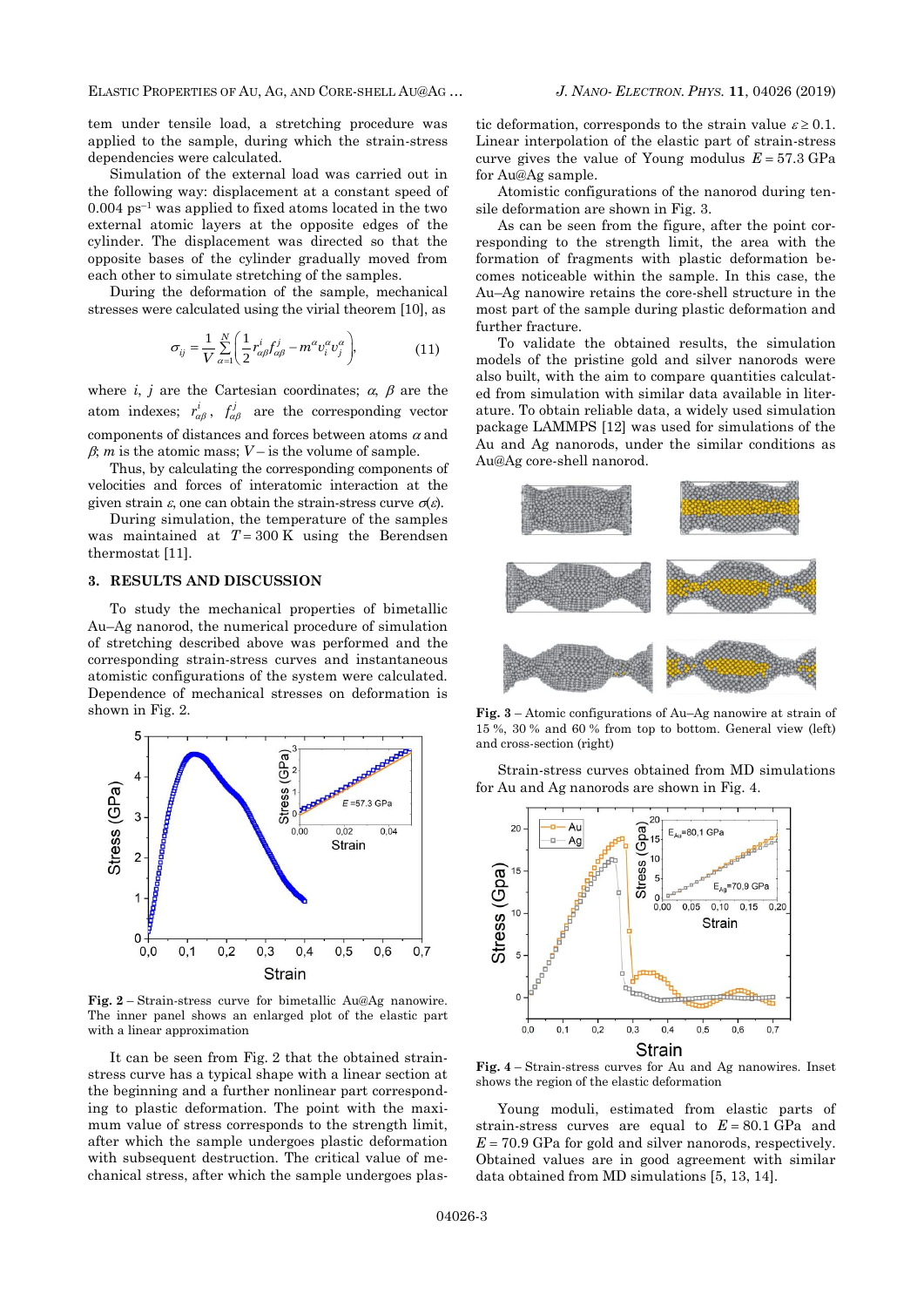tem under tensile load, a stretching procedure was applied to the sample, during which the strain-stress dependencies were calculated.

Simulation of the external load was carried out in the following way: displacement at a constant speed of  $0.004$  ps<sup>-1</sup> was applied to fixed atoms located in the two external atomic layers at the opposite edges of the cylinder. The displacement was directed so that the opposite bases of the cylinder gradually moved from each other to simulate stretching of the samples.

During the deformation of the sample, mechanical stresses were calculated using the virial theorem [10], as

$$
\sigma_{ij} = \frac{1}{V} \sum_{\alpha=1}^{N} \left( \frac{1}{2} r_{\alpha\beta}^{i} f_{\alpha\beta}^{j} - m^{\alpha} v_{i}^{\alpha} v_{j}^{\alpha} \right),
$$
(11)

where *i*, *j* are the Cartesian coordinates;  $\alpha$ ,  $\beta$  are the atom indexes;  $r_{\alpha\beta}^i$ ,  $f_{\alpha\beta}^j$  are the corresponding vector components of distances and forces between atoms  $\alpha$  and  $\beta$ ; *m* is the atomic mass;  $V$  – is the volume of sample.

Thus, by calculating the corresponding components of velocities and forces of interatomic interaction at the given strain  $\varepsilon$ , one can obtain the strain-stress curve  $\sigma(\varepsilon)$ .

During simulation, the temperature of the samples was maintained at  $T = 300 \text{ K}$  using the Berendsen thermostat [11].

### **3. RESULTS AND DISCUSSION**

To study the mechanical properties of bimetallic Au–Ag nanorod, the numerical procedure of simulation of stretching described above was performed and the corresponding strain-stress curves and instantaneous atomistic configurations of the system were calculated. Dependence of mechanical stresses on deformation is shown in Fig. 2.



**Fig. 2** – Strain-stress curve for bimetallic Au@Ag nanowire. The inner panel shows an enlarged plot of the elastic part with a linear approximation

It can be seen from Fig. 2 that the obtained strainstress curve has a typical shape with a linear section at the beginning and a further nonlinear part corresponding to plastic deformation. The point with the maximum value of stress corresponds to the strength limit, after which the sample undergoes plastic deformation with subsequent destruction. The critical value of mechanical stress, after which the sample undergoes plas-

tic deformation, corresponds to the strain value  $\varepsilon \geq 0.1$ . Linear interpolation of the elastic part of strain-stress curve gives the value of Young modulus  $E = 57.3 \text{ GPa}$ for Au@Ag sample.

Atomistic configurations of the nanorod during tensile deformation are shown in Fig. 3.

As can be seen from the figure, after the point corresponding to the strength limit, the area with the formation of fragments with plastic deformation becomes noticeable within the sample. In this case, the Au–Ag nanowire retains the core-shell structure in the most part of the sample during plastic deformation and further fracture.

To validate the obtained results, the simulation models of the pristine gold and silver nanorods were also built, with the aim to compare quantities calculated from simulation with similar data available in literature. To obtain reliable data, a widely used simulation package LAMMPS [12] was used for simulations of the Au and Ag nanorods, under the similar conditions as Au@Ag core-shell nanorod.



**Fig. 3** – Atomic configurations of Au–Ag nanowire at strain of 15 %, 30 % and 60 % from top to bottom. General view (left) and cross-section (right)

Strain-stress curves obtained from MD simulations for Au and Ag nanorods are shown in Fig. 4.



**Fig. 4** – Strain-stress curves for Au and Ag nanowires. Inset shows the region of the elastic deformation

Young moduli, estimated from elastic parts of strain-stress curves are equal to  $E = 80.1$  GPa and  $E = 70.9$  GPa for gold and silver nanorods, respectively. Obtained values are in good agreement with similar data obtained from MD simulations [5, 13, 14].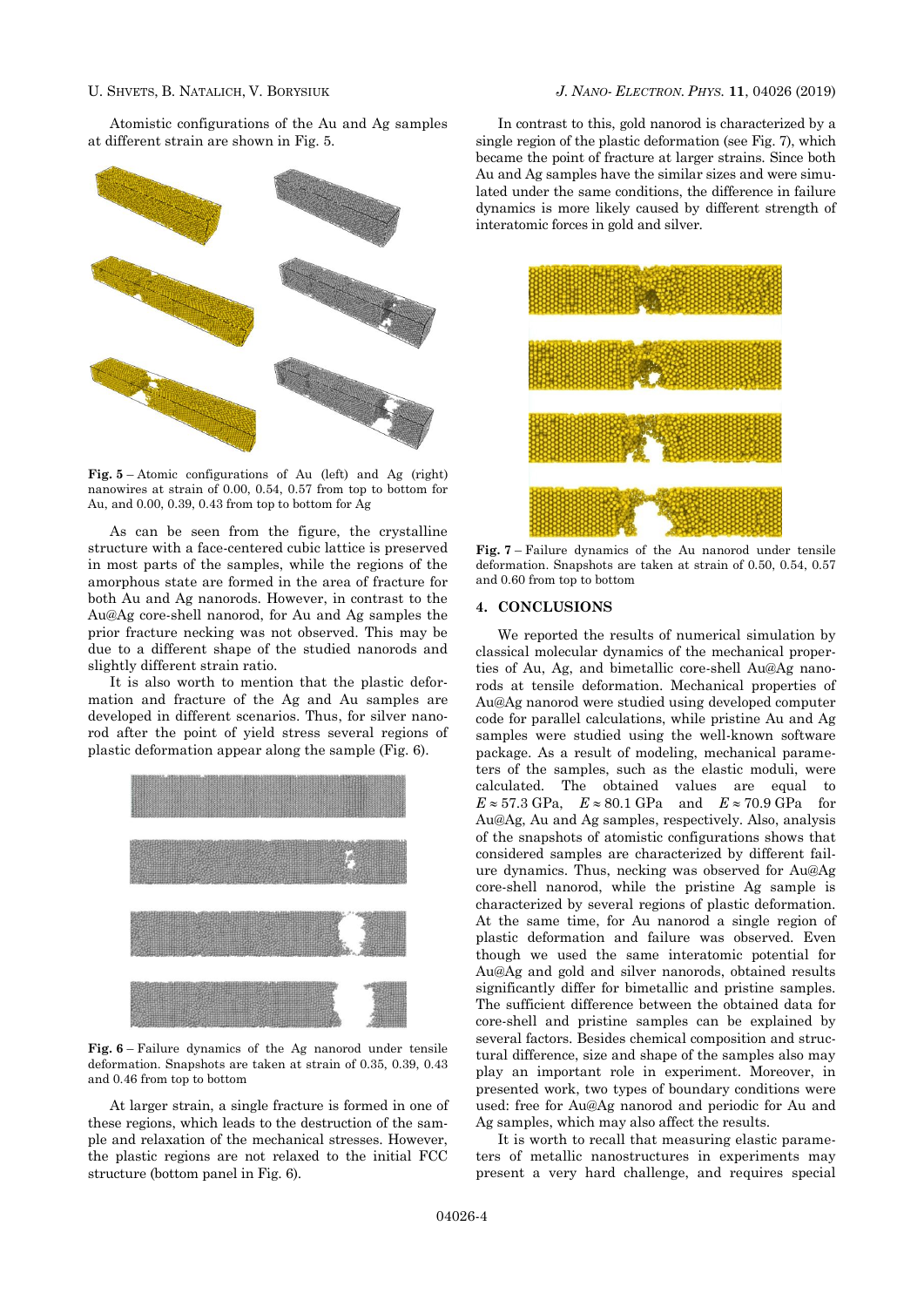Atomistic configurations of the Au and Ag samples at different strain are shown in Fig. 5.



**Fig. 5** – Atomic configurations of Au (left) and Ag (right) nanowires at strain of 0.00, 0.54, 0.57 from top to bottom for Au, and 0.00, 0.39, 0.43 from top to bottom for Ag

As can be seen from the figure, the crystalline structure with a face-centered cubic lattice is preserved in most parts of the samples, while the regions of the amorphous state are formed in the area of fracture for both Au and Ag nanorods. However, in contrast to the Au@Ag core-shell nanorod, for Au and Ag samples the prior fracture necking was not observed. This may be due to a different shape of the studied nanorods and slightly different strain ratio.

It is also worth to mention that the plastic deformation and fracture of the Ag and Au samples are developed in different scenarios. Thus, for silver nanorod after the point of yield stress several regions of plastic deformation appear along the sample (Fig. 6).



**Fig. 6** – Failure dynamics of the Ag nanorod under tensile deformation. Snapshots are taken at strain of 0.35, 0.39, 0.43 and 0.46 from top to bottom

At larger strain, a single fracture is formed in one of these regions, which leads to the destruction of the sample and relaxation of the mechanical stresses. However, the plastic regions are not relaxed to the initial FCC structure (bottom panel in Fig. 6).

In contrast to this, gold nanorod is characterized by a single region of the plastic deformation (see Fig. 7), which became the point of fracture at larger strains. Since both Au and Ag samples have the similar sizes and were simulated under the same conditions, the difference in failure dynamics is more likely caused by different strength of interatomic forces in gold and silver.



**Fig. 7** – Failure dynamics of the Au nanorod under tensile deformation. Snapshots are taken at strain of 0.50, 0.54, 0.57 and 0.60 from top to bottom

## **4. CONCLUSIONS**

We reported the results of numerical simulation by classical molecular dynamics of the mechanical properties of Au, Ag, and bimetallic core-shell Au@Ag nanorods at tensile deformation. Mechanical properties of Au@Ag nanorod were studied using developed computer code for parallel calculations, while pristine Au and Ag samples were studied using the well-known software package. As a result of modeling, mechanical parameters of the samples, such as the elastic moduli, were calculated. The obtained values are equal to  $E \approx 57.3 \text{ GPa}$ ,  $E \approx 80.1 \text{ GPa}$  and  $E \approx 70.9 \text{ GPa}$  for Au@Ag, Au and Ag samples, respectively. Also, analysis of the snapshots of atomistic configurations shows that considered samples are characterized by different failure dynamics. Thus, necking was observed for Au@Ag core-shell nanorod, while the pristine Ag sample is characterized by several regions of plastic deformation. At the same time, for Au nanorod a single region of plastic deformation and failure was observed. Even though we used the same interatomic potential for Au@Ag and gold and silver nanorods, obtained results significantly differ for bimetallic and pristine samples. The sufficient difference between the obtained data for core-shell and pristine samples can be explained by several factors. Besides chemical composition and structural difference, size and shape of the samples also may play an important role in experiment. Moreover, in presented work, two types of boundary conditions were used: free for Au@Ag nanorod and periodic for Au and Ag samples, which may also affect the results.

It is worth to recall that measuring elastic parameters of metallic nanostructures in experiments may present a very hard challenge, and requires special